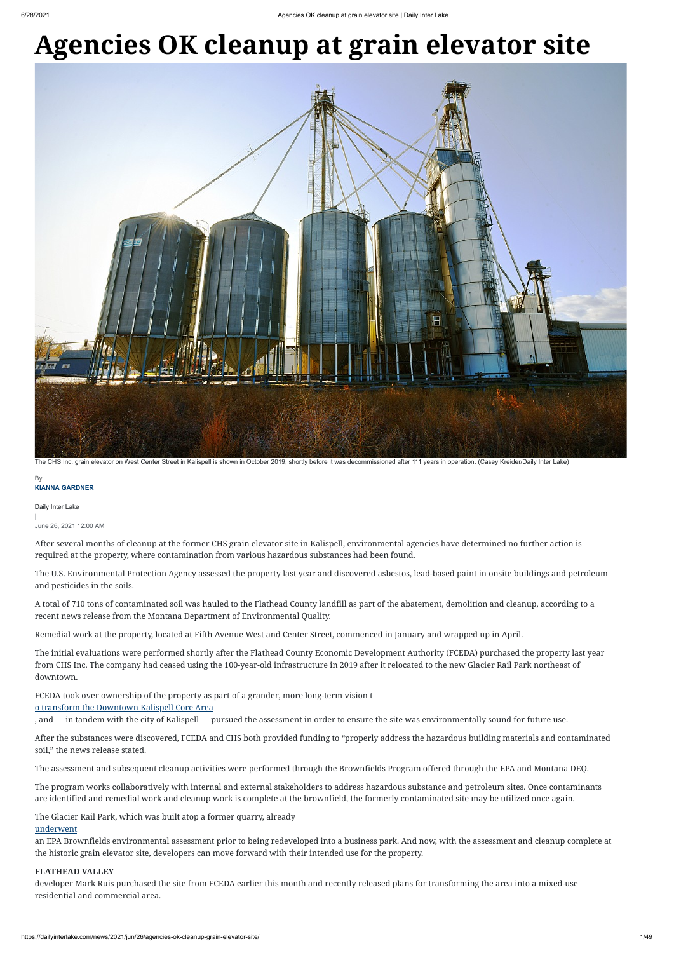#### **KIANNA GARDNER B**

# **Agencies OK cleanup at grain elevator site**



Daily Inter Lake |

June 26, 2021 12:00 AM

After several months of cleanup at the former CHS grain elevator site in Kalispell, environmental agencies have determined no further action is required at the property, where contamination from various hazardous substances had been found.

The U.S. Environmental Protection Agency assessed the property last year and discovered asbestos, lead-based paint in onsite buildings and petroleum and pesticides in the soils.

A total of 710 tons of contaminated soil was hauled to the Flathead County landfill as part of the abatement, demolition and cleanup, according to a recent news release from the Montana Department of Environmental Quality.

Remedial work at the property, located at Fifth Avenue West and Center Street, commenced in January and wrapped up in April.

The initial evaluations were performed shortly after the Flathead County Economic Development Authority (FCEDA) purchased the property last year from CHS Inc. The company had ceased using the 100-year-old infrastructure in 2019 after it relocated to the new Glacier Rail Park northeast of downtown.

FCEDA took over ownership of the property as part of a grander, more long-term vision t

## [o transform the Downtown Kalispell Core Area](https://dailyinterlake.com/news/2021/jan/31/trail-runs-through-it-kalispell-track-complete-par/)

, and — in tandem with the city of Kalispell — pursued the assessment in order to ensure the site was environmentally sound for future use.

After the substances were discovered, FCEDA and CHS both provided funding to "properly address the hazardous building materials and contaminated soil," the news release stated.

The assessment and subsequent cleanup activities were performed through the Brownfields Program offered through the EPA and Montana DEQ.

The program works collaboratively with internal and external stakeholders to address hazardous substance and petroleum sites. Once contaminants are identified and remedial work and cleanup work is complete at the brownfield, the formerly contaminated site may be utilized once again.

The Glacier Rail Park, which was built atop a former quarry, already

#### [underwent](https://www.epa.gov/newsreleases/epa-administrator-wheeler-highlights-brownfields-success-montana-senator-daines)

an EPA Brownfields environmental assessment prior to being redeveloped into a business park. And now, with the assessment and cleanup complete at the historic grain elevator site, developers can move forward with their intended use for the property.

### **FLATHEAD VALLEY**

developer Mark Ruis purchased the site from FCEDA earlier this month and recently released plans for transforming the area into a mixed-use residential and commercial area.

The CHS Inc. grain elevator on West Center Street in Kalispell is shown in October 2019, shortly before it was decommissioned after 111 years in operation. (Casey Kreider/Daily Inter Lake)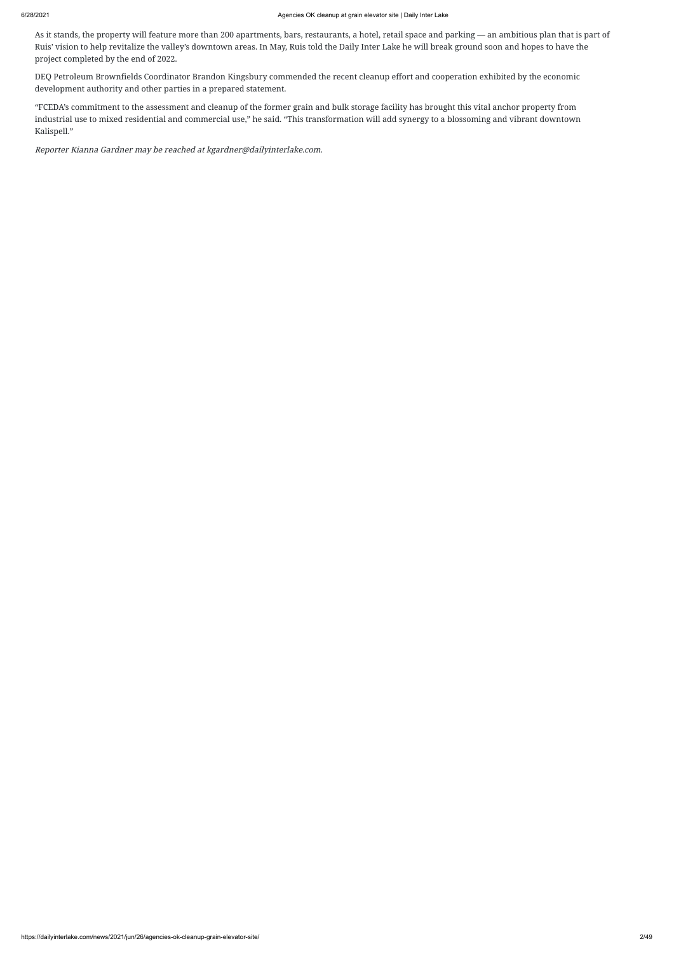As it stands, the property will feature more than 200 apartments, bars, restaurants, a hotel, retail space and parking — an ambitious plan that is part of Ruis' vision to help revitalize the valley's downtown areas. In May, Ruis told the Daily Inter Lake he will break ground soon and hopes to have the project completed by the end of 2022.

DEQ Petroleum Brownfields Coordinator Brandon Kingsbury commended the recent cleanup effort and cooperation exhibited by the economic development authority and other parties in a prepared statement.

"FCEDA's commitment to the assessment and cleanup of the former grain and bulk storage facility has brought this vital anchor property from industrial use to mixed residential and commercial use," he said. "This transformation will add synergy to a blossoming and vibrant downtown Kalispell."

Reporter Kianna Gardner may be reached at kgardner@dailyinterlake.com.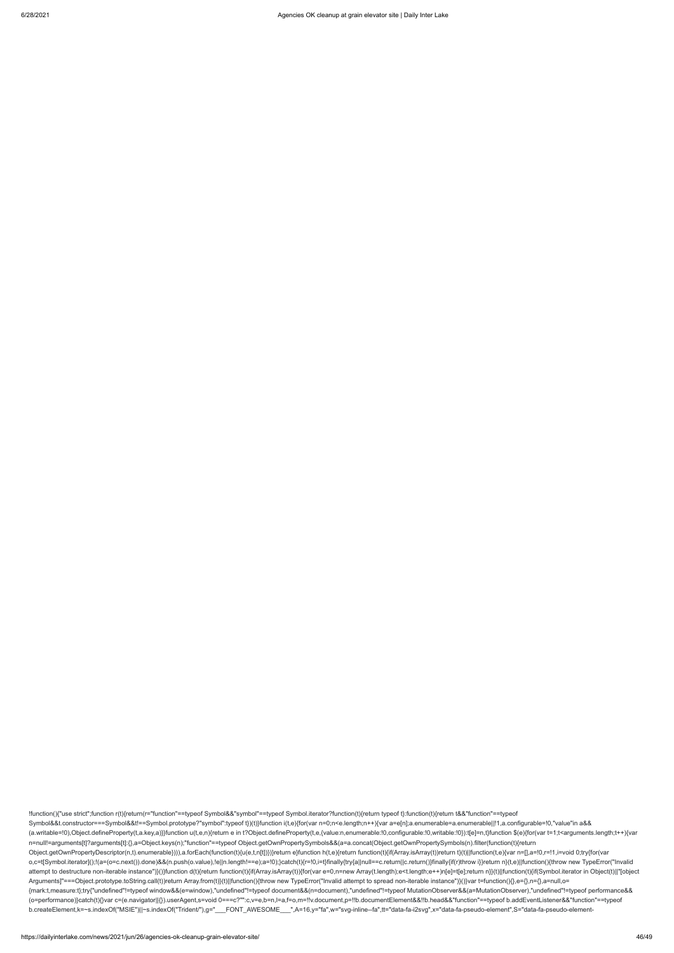!function(){"use strict";function r(t){return(r="function"==typeof Symbol&&"symbol"==typeof Symbol.iterator?function(t){return typeof t}:function(t){return t&&"function"==typeof Symbol&&t.constructor===Symbol&&t!==Symbol.prototype?"symbol":typeof t})(t)}function i(t,e){for(var n=0;n<e.length;n++){var a=e[n];a.enumerable=a.enumerable||!1,a.configurable=!0,"value"in a&& (a.writable=!0),Object.defineProperty(t,a.key,a)}}function u(t,e,n){return e in t?Object.defineProperty(t,e,{value:n,enumerable:!0,configurable:!0,writable:!0}):t[e]=n,t}function \$(e){for(var t=1;t<arguments.length;t++){var n=null!=arguments[t]?arguments[t]:{},a=Object.keys(n);"function"==typeof Object.getOwnPropertySymbols&&(a=a.concat(Object.getOwnPropertySymbols(n).filter(function(t){return Object.getOwnPropertyDescriptor(n,t).enumerable}))),a.forEach(function(t){u(e,t,n[t])})}return e}function h(t,e){return function(t){if(Array.isArray(t))return t}(t)||function(t,e){var n=[],a=!0,r=!1,i=void 0;try{for(var o,c=t[Symbol.iterator]();!(a=(o=c.next()).done)&&(n.push(o.value),!e||n.length!==e);a=!0);}catch(t){r=!0,i=t}finally{try{a||null==c.return||c.return()}finally{if(r)throw i}}return n}(t,e)||function(){throw new TypeError("I attempt to destructure non-iterable instance")}()}function d(t){return function(t){if(Array.isArray(t)){for(var e=0,n=new Array(t.length);e<t.length;e++)n[e]=t[e];return n}}(t)||function(t){if(Symbol.iterator in Object(t)| Arguments]"===Object.prototype.toString.call(t))return Array.from(t)}(t)||function(){throw new TypeError("Invalid attempt to spread non-iterable instance")}()}var t=function(){},e={},n={},a=null,o= {mark:t,measure:t};try{"undefined"!=typeof window&&(e=window),"undefined"!=typeof document&&(n=document),"undefined"!=typeof MutationObserver&&(a=MutationObserver),"undefined"!=typeof performance&& (o=performance)}catch(t){}var c=(e.navigator||{}).userAgent,s=void 0===c?"":c,v=e,b=n,l=a,f=o,m=!!v.document,p=!!b.documentElement&&!!b.head&&"function"==typeof b.addEventListener&&"function"==typeof b.createElement,k=~s.indexOf("MSIE")||~s.indexOf("Trident/"),g="\_\_\_FONT\_AWESOME\_\_\_",A=16,y="fa",w="svg-inline--fa",tt="data-fa-i2svg",x="data-fa-pseudo-element",S="data-fa-pseudo-element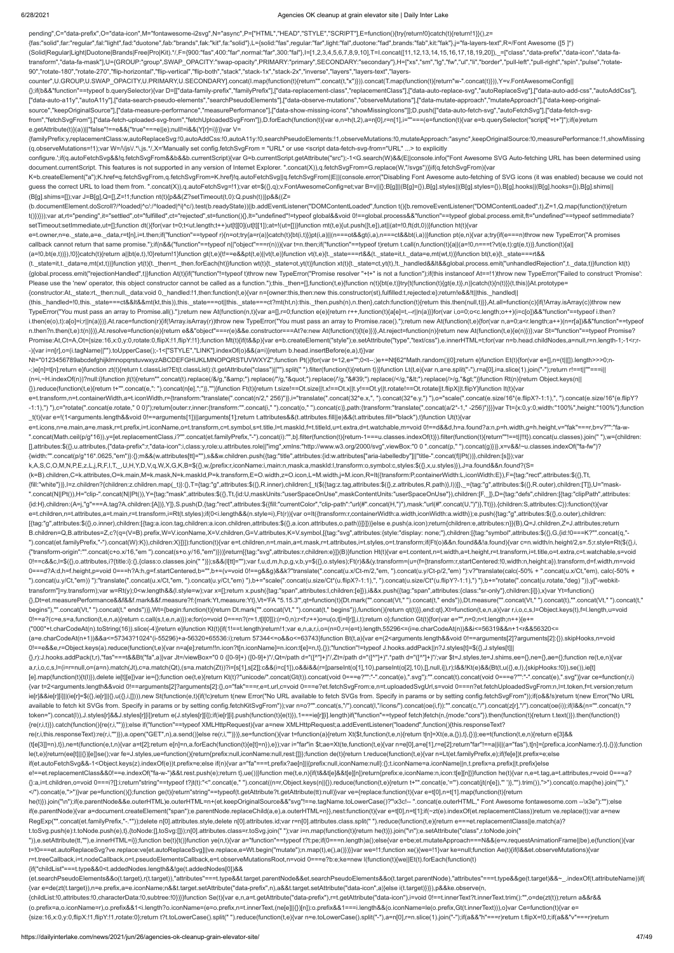pending",C="data-prefix",O="data-icon",M="fontawesome-i2svg",N="async",P=["HTML","HEAD","STYLE","SCRIPT"],E=function(){try{return!0}catch(t){return!1}}(),z=

{fas:"solid",far:"regular",fal:"light",fad:"duotone",fab:"brands",fak:"kit",fa:"solid"},L={solid:"fas",regular:"far",light:"fal",duotone:"fad",brands:"fab",kit:"fak"},j="fa-layers-text",R=/Font Awesome ([5 ]\*)

(Solid|Regular|Light|Duotone|Brands|Free|Pro|Kit).\*/,F={900:"fas",400:"far",normal:"far",300:"fal"},I=[1,2,3,4,5,6,7,8,9,10],T=I.concat([11,12,13,14,15,16,17,18,19,20]),\_=["class","data-prefix","data-icon","data-fatransform","data-fa-mask"],U={GROUP:"group",SWAP\_OPACITY:"swap-opacity",PRIMARY:"primary",SECONDARY:"secondary"},H=["xs","sm","lg","fw","ul","li","border","pull-left","pull-right","spin","pulse","rotate-90","rotate-180","rotate-270","flip-horizontal","flip-vertical","flip-both","stack","stack-1x","stack-2x","inverse","layers","layers-text","layers-

counter",U.GROUP,U.SWAP\_OPACITY,U.PRIMARY,U.SECONDARY].concat(I.map(function(t){return"".concat(t,"x")})).concat(T.map(function(t){return"w-".concat(t)})),Y=v.FontAwesomeConfig|| {};if(b&&"function"==typeof b.querySelector){var D=[["data-family-prefix","familyPrefix"],["data-replacement-class","replacementClass"],["data-auto-replace-svg","autoReplaceSvg"],["data-auto-add-css","autoAddCss"], ["data-auto-a11y","autoA11y"],["data-search-pseudo-elements","searchPseudoElements"],["data-observe-mutations","observeMutations"],["data-mutate-approach","mutateApproach"],["data-keep-originalsource","keepOriginalSource"],["data-measure-performance","measurePerformance"],["data-show-missing-icons","showMissingIcons"]];D.push(["data-auto-fetch-svg","autoFetchSvg"],["data-fetch-svgfrom","fetchSvgFrom"],["data-fetch-uploaded-svg-from","fetchUploadedSvgFrom"]),D.forEach(function(t){var e,n=h(t,2),a=n[0],r=n[1],i=""===(e=function(t){var e=b.querySelector("script["+t+"]");if(e)return e.getAttribute(t)}(a))||"false"!==e&&("true"===e||e);null!=i&&(Y[r]=i)})}var V=

K=b.createElement("a");K.href=q.fetchSvgFrom,q.fetchSvgFrom=K.href}!q.autoFetchSvg||q.fetchSvgFrom||E||(console.error("Disabling Font Awesome auto-fetching of SVG icons (it was enabled) because we could not guess the correct URL to load them from. ".concat(X)),q.autoFetchSvg=!1);var et=\$({},q);v.FontAwesomeConfig=et;var B=v||{};B[g]||(B[g]={}),B[g].styles||(B[g].styles={}),B[g].hooks||(B[g].hooks={}),B[g].shims|| (B[g].shims=[]);var J=B[g],Q=[],Z=!1;function nt(t){p&&(Z?setTimeout(t,0):Q.push(t))}p&&((Z=

{familyPrefix:y,replacementClass:w,autoReplaceSvg:!0,autoAddCss:!0,autoA11y:!0,searchPseudoElements:!1,observeMutations:!0,mutateApproach:"async",keepOriginalSource:!0,measurePerformance:!1,showMissing (q.observeMutations=!1);var W=/\/js\/.\*\.js.\*/,X='Manually set config.fetchSvgFrom = "URL" or use <script data-fetch-svg-from="URL" ...> to explicitly

configure.';if(q.autoFetchSvg&&!q.fetchSvgFrom&&b&&b.currentScript){var G=b.currentScript.getAttribute("src");-1<G.search(W)&&(E||console.info("Font Awesome SVG Auto-fetching URL has been determined using document.currentScript. This features is not supported in any version of Internet Explorer. ".concat(X)),q.fetchSvgFrom=G.replace(W,"/svgs"))}if(q.fetchSvgFrom){var

(t.\_state=it,t.\_data=e,mt(xt,t))}function yt(t){t.\_then=t.\_then.forEach(ht)}function wt(t){t.\_state=ot,yt(t)}function xt(t){t.\_state=ct,yt(t),lt.\_handled&&It&&global.process.emit("unhandledRejection",t.\_data,t)}function kt {global.process.emit("rejectionHandled",t)}function At(t){if("function"!=typeof t)throw new TypeError("Promise resolver "+t+" is not a function");if(this instanceof At==!1)throw new TypeError("Failed to construct 'Promise': Please use the 'new' operator, this object constructor cannot be called as a function.");this.\_then=[],function(t,e){function n(t){bt(e,t)}try{t(function(t){gt(e,t)},n)}catch(t){n(t)}}(t,this)}At.prototype= {constructor:At,\_state:rt,\_then:null,\_data:void 0,\_handled:!1,then:function(t,e){var n={owner:this,then:new this.constructor(st),fulfilled:t,rejected:e};return!e&&!t||this.\_handled||

(b.documentElement.doScroll?/^loaded|^c/:/^loaded|^i|^c/).test(b.readyState))||b.addEventListener("DOMContentLoaded",function t(){b.removeEventListener("DOMContentLoaded",t),Z=1,Q.map(function(t){return t()})}));var at,rt="pending",it="settled",ot="fulfilled",ct="rejected",st=function(){},lt="undefined"!=typeof global&&void 0!==global.process&&"function"==typeof global.process.emit,ft="undefined"==typeof setImmediate? setTimeout:setImmediate,ut=[];function dt(){for(var t=0;t<ut.length;t++)ut[t][0](ut[t][1]);at=!(ut=[])}function mt(t,e){ut.push([t,e]),at||(at=!0,ft(dt,0))}function ht(t){var

Nt="0123456789abcdefghijklmnopqrstuvwxyzABCDEFGHIJKLMNOPQRSTUVWXYZ";function Pt(){for(var t=12,e="";0<t--;)e+=Nt[62\*Math.random()|0];return e}function Et(t){for(var e=[],n=(t||[]).length>>>0;n--;)e[n]=t[n];return e}function zt(t){return t.classList?Et(t.classList):(t.getAttribute("class")||"").split(" ").filter(function(t){return t)}}function Lt(t,e){var n,a=e.split("-"),r=a[0],i=a.slice(1).join("-");return r!== (n=i,~H.indexOf(n))?null:i}function jt(t){return"".concat(t).replace(/&/g,"&").replace(/"/g,""").replace(//g,"'").replace(/</g,"&lt;").replace(/>/g,"&dt;"}}function Rt(n){return Object.keys(n|| {}).reduce(function(t,e){return t+"".concat(e,": ").concat(n[e],";")},"")}function Ft(t){return t.size!==Ot.size||t.x!==Ot.x||t.y!==Ot.y||t.rotate!==Ot.rotate||t.flipX||t.flipY}function It(t){var

e=t.owner,n=e.\_state,a=e.\_data,r=t[n],i=t.then;if("function"==typeof r){n=ot;try{a=r(a)}catch(t){bt(i,t)}}pt(i,a)||(n===ot&&gt(i,a),n===ct&&bt(i,a))}function pt(e,n){var a;try{if(e===n)throw new TypeError("A promises callback cannot return that same promise.");if(n&&("function"==typeof n||"object"===r(n))){var t=n.then;if("function"==typeof t)return t.call(n,function(t){a||(a=!0,n===t?vt(e,t):gt(e,t))},function(t){a|| (a=!0,bt(e,t))}),!0}}catch(t){return a||bt(e,t),!0}return!1}function gt(t,e){t!==e&&pt(t,e)||vt(t,e)}function vt(t,e){t.\_state===rt&&(t.\_state=it,t.\_data=e,mt(wt,t))}function bt(t,e){t.\_state===rt&&

(k=B).children,C=k.attributes,O=k.main,M=k.mask,N=k.maskId,P=k.transform,E=O.width,z=O.icon,L=M.width,j=M.icon,R=It({transform:P,containerWidth:L,iconWidth:E}),F={tag:"rect",attributes:\$({},Tt, {fill:"white"})},l=z.children?{children:z.children.map(\_t)}:{},T={tag:"g",attributes:\$({},R.inner),children:[\_t(\$({tag:z.tag,attributes:\$({},2.attributes,R.path)},l))]},\_={tag:"g",attributes:\$({},R.outer),children:[T]},U=" ".concat(N||Pt()),H="clip-".concat(N||Pt()),Y={tag:"mask",attributes:\$({},Tt,{id:U,maskUnits:"userSpaceOnUse",maskContentUnits:"userSpaceOnUse"}),children:[F,\_]},D={tag:"defs",children:[{tag:"clipPath",attributes:\$({},Tt,{ {id:H},children:(A=j,"g"===A.tag?A.children:[A])},Y]},S.push(D,{tag:"rect",attributes:\$({fill:"currentColor","clip-path":"url(#".concat(H,")"),mask:"url(#".concat(U,")")},Tt)}),{children:S,attributes:C}):function(t){var e=t.children,n=t.attributes,a=t.main,r=t.transform,i=Rt(t.styles);if(0<i.length&&(n.style=i),Ft(r)){var o=It({transform:r,containerWidth:a.width,iconWidth:a.width});e.push({tag:"g",attributes:\$({},o.outer),children: [{tag:"g",attributes:\$({},o.inner),children:[{tag:a.icon.tag,children:a.icon.children,attributes:\$({},a.icon.attributes,o.path)}]}]})}else e.push(a.icon);return{children:e,attributes:n}}(B),Q=J.children,Z=J.attributes;return B.children=Q,B.attributes=Z,c?(q=(V=B).prefix,W=V.iconName,X=V.children,G=V.attributes,K=V.symbol,[{tag:"svg",attributes:{style:"display: none;"},children:[{tag:"symbol",attributes:\$({},G,{id:!0===K?"".concat(q,"- ").concat(et.familyPrefix,"-").concat(W):K}),children:X}]}]):function(t){var e=t.children,n=t.main,a=t.mask,r=t.attributes,i=t.styles,o=t.transform;if(Ft(o)&&n.found&&!a.found){var c=n.width/n.height/2,s=.5;r.style=Rt(\${{} {"transform-origin":"".concat(c+o.x/16,"em ").concat(s+o.y/16,"em")}))}return[{tag:"svg",attributes:r,children:e}]}(B)}function Ht(t){var e=t.content,n=t.width,a=t.height,r=t.transform,i=t.title,o=t.extra,c=t.watchable,s=v 0!==c&&c,l=\$({},o.attributes,i?{title:i}:{},{class:o.classes.join(" ")});s&&(l[tt]="");var f,u,d,m,h,p,g,v,b,y=\$({},o.styles);Ft(r)&&(y.transform=(u=(f={transform:r,startCentered:!0,width:n,height:a}).transform,d=f.width,m 0===d?A:d,h=f.height,p=void 0===h?A:h,g=f.startCentered,b="",b+=(v=void 0!==g&&g)&&k?"translate(".concat(u.x/Ct-m/2,"em, ").concat(u.y/Ct-p/2,"em) "):v?"translate(calc(-50% + ".concat(u.x/Ct,"em), calc(-50% + ").concat(u.y/Ct,"em)) "):"translate(".concat(u.x/Ct,"em, ").concat(u.y/Ct,"em) "),b+="scale(".concat(u.size/Ct\*(u.flipX?-1:1),", ").concat(u.size/Ct\*(u.flipY?-1:1),") "),b+="rotate(".concat(u.rotate,"deg) ")),y["-webkittransform"]=y.transform);var w=Rt(y);0<w.length&&(l.style=w);var x=[];return x.push({tag:"span",attributes:l,children:[e]}),i&&x.push({tag:"span",attributes:{class:"sr-only"},children:[i]}),x}var Yt=function() {},Dt=et.measurePerformance&&f&&f.mark&&f.measure?f:{mark:Yt,measure:Yt},Vt='FA "5.15.3"',qt=function(t){Dt.mark("".concat(Vt," ").concat(t," ends")),Dt.measure("".concat(Vt," ").concat(t),"".concat(Vt," ").concat(t," begins"),"".concat(Vt," ").concat(t," ends"))},Wt={begin:function(t){return Dt.mark("".concat(Vt," ").concat(t," begins")),function({feturn qt(t)}},end:qt},Xt=function(t,e,n,a){var r,i,o,c,s,l=Object.keys(t),f=l.length,u=v 0!==a?(c=e,s=a,function(t,e,n,a){return c.call(s,t,e,n,a)}):e;for(o=void 0===n?(r=1,t[l[0]]):(r=0,n);r<f;r++)o=u(o,t[i=l[r]],i,t);return o};function Gt(t){for(var e="",n=0;n<t.length;n++){e+= ("000"+t.charCodeAt(n).toString(16)).slice(-4)}return e}function Kt(t){if(1!==t.length)return!1;var e,n,a,r,i,o=(n=0,r=(e=t).length,55296<=(i=e.charCodeAt(n))&&i<=56319&&n+1<r&&56320<= (a=e.charCodeAt(n+1))&&a<=57343?1024\*(i-55296)+a-56320+65536:i);return 57344<=o&&o<=63743}function Bt(t,a){var e=(2<arguments.length&&void 0!==arguments[2]?arguments[2]:{}).skipHooks,n=void 0!==e&&e,r=Object.keys(a).reduce(function(t,e){var n=a[e];return!!n.icon?t[n.iconName]=n.icon:t[e]=n,t},{});"function"!=typeof J.hooks.addPack||n?J.styles[t]=\$({},J.styles[t]||  $\{1, r\}$ :J.hooks.addPack(t,r),"fas"===t&&Bt("fa",a)}var Jt=/viewBox="0 0 ([0-9]+)"/,Qt=/path d="([^"]+)"/,Zt=/path d="([^"]+)".\*path d="([^"]+)";var \$t=J.styles,te=J.shims,ee={},ne={},ae={};function re(t,e,n){var Jt=/vie a,r,i,o,c,s,l=(i=r=null,o=(a=n).match(Jt),c=a.match(Qt),(s=a.match(Zt))?i=[s[1],s[2]]:c&&(i=c[1]),o&&i&&(r=[parseInt(o[1],10),parseInt(o[2],10),[],null,i]),r);l&&!Kt(e)&&(Bt(t,u({},e,l),{skipHooks:!0}),se()),ie[t] [e].map(function(t){t(l)}),delete ie[t][e]}var ie={};function oe(t,e){return Kt(t)?"unicode/".concat(Gt(t)).concat(void 0===e?"":"-".concat(e),".svg"):"".concat(t).concat(t).concat(oid 0===e?"":"-".concat(oid 0===e?"":"-". {var t=2<arguments.length&&void 0!==arguments[2]?arguments[2]:{},o="fak"===r,e=t.url,c=void 0===e?et.fetchSvgFrom:e,n=t.uploadedSvgUrl,s=void 0===n?et.fetchUploadedSvgFrom:n,l=t.token,f=t.version;return ie[r]&&ie[r][i]]|(ie[r]=\$({},ie[r]||{},u({},i,[]))),new St(function(e,t){if(!c)return t(new Error("No URL available to fetch SVGs from. Specify in params or by setting config.fetchSvgFrom"));if(o&&!s)return t(new Error("No available to fetch kit SVGs from. Specify in params or by setting config.fetchKitSvgFrom"));var n=o?"".concat(s,"/").concat(l,"/icons/").concat(oe(i,f)):"".concat(c,"/").concat(z[r],"/").concat(oe(i));if(l&&(n="".concat(n, token=").concat(l)),J.styles[r]&&J.styles[r][i])return e(J.styles[r][i]);if(ie[r][i].push(function(t){e(t)}),1===ie[r][i].length)if("function"==typeof fetch)fetch(n,{mode:"cors"}).then(function(t){return t.text()}).then(fu

(this.\_handled=!0,this.\_state===ct&&lt&&mt(kt,this)),this.\_state===ot||this.\_state===ct?mt(ht,n):this.\_then.push(n),n.then},catch:function(t){return this.then(null,t)}},At.all=function(c){if(!Array.isArray(c))throw new TypeError("You must pass an array to Promise.all().");return new At(function(n,t){var a=[],r=0;function e(e){return r++,function(t){a[e]=t,--r||n(a)}}for(var i,o=0;o<c.length;o++)(i=c[o])&&"function"==typeof i.then? i.then(e(o),t):a[o]=i;r||n(a)})},At.race=function(r){if(!Array.isArray(r))throw new TypeError("You must pass an array to Promise.race().");return new At(function(t,e){for(var n,a=0;a<r.length;a++)(n=r[a])&&"function"==type n.then?n.then(t,e):t(n)})},At.resolve=function(e){return e&&"object"===r(e)&&e.constructor===At?e:new At(function(t){t(e)})},At.reject=function(n){return new At(function(t,e){e(n)})};var St="function"==typeof Promise? Promise:At,Ct=A,Ot={size:16,x:0,y:0,rotate:0,flipX:!1,flipY:!1};function Mt(t){if(t&&p){var e=b.createElement("style");e.setAttribute("type","text/css"),e.innerHTML=t;for(var n=b.head.childNodes,a=null,r=n.length-1;-1<r;r- -){var i=n[r],o=(i.tagName||"").toUpperCase();-1<["STYLE","LINK"].indexOf(o)&&(a=i)}return b.head.insertBefore(e,a),t}}var

e=t.transform,n=t.containerWidth,a=t.iconWidth,r={transform:"translate(".concat(n/2," 256)")},i="translate(".concat(32\*e.x,", ").concat(32\*e.y,") "),o="scale(".concat(e.size/16\*(e.flipX?-1:1),", ").concat(e.size/16\*(e.flipY? -1:1),") "),c="rotate(".concat(e.rotate," 0 0)");return{outer:r,inner:{transform:"".concat(i," ").concat(o," ").concat(c)},path:{transform:"translate(".concat(a/2\*-1," -256)"}}}}var Tt={x:0,y:0,width:"100%",height:"100%"}; \_t(t){var e=!(1<arguments.length&&void 0!==arguments[1])||arguments[1];return t.attributes&&(t.attributes.fill||e)&&(t.attributes.fill="black"),t}function Ut(t){var

e=t.icons,n=e.main,a=e.mask,r=t.prefix,i=t.iconName,o=t.transform,c=t.symbol,s=t.title,l=t.maskId,f=t.titleId,u=t.extra,d=t.watchable,m=void 0!==d&&d,h=a.found?a:n,p=h.width,g=h.height,v="fak"===r,b=v?"":"fa-w- ".concat(Math.ceil(p/g\*16)),y=[et.replacementClass,i?"".concat(et.familyPrefix,"-").concat(i):"",b].filter(function(t){return-1===u.classes.indexOf(t)}).filter(function(t){return"!==t|!!!!}).concat(u.classes).join(""),w={c [],attributes:\$({},u.attributes,{"data-prefix":r,"data-icon":i,class:y,role:u.attributes.role||"img",xmlns:"http://www.w3.org/2000/svg",viewBox:"0 0 ".concat(p," ").concat(g)})},x=v&&!~u.classes.indexOf("fa-fw")? {width:"".concat(p/g\*16\*.0625,"em")}:{};m&&(w.attributes[tt]=""),s&&w.children.push({tag:"title",attributes:{id:w.attributes["aria-labelledby"]||"title-".concat(f||Pt())},children:[s]});var

k,A,S,C,O,M,N,P,E,z,L,j,R,F,I,T,\_,U,H,Y,D,V,q,W,X,G,K,B=\$({},w,{prefix:r,iconName:i,main:n,mask:a,maskId:l,transform:o,symbol:c,styles:\$({},x,u.styles)}),J=a.found&&n.found?(S=

{re(r,i,t)}).catch(function(){re(r,i,"")});else if("function"==typeof XMLHttpRequest){var a=new XMLHttpRequest;a.addEventListener("loadend",function(){this.responseText? re(r,i,this.responseText):re(r,i,"")}),a.open("GET",n),a.send()}else re(r,i,"")})},se=function(){var t=function(a){return Xt(\$t,function(t,e,n){return t[n]=Xt(e,a,{}),t},{})};ee=t(function(t,e,n){return e[3]&& (t[e[3]]=n),t}),ne=t(function(e,t,n){var a=t[2];return e[n]=n,a.forEach(function(t){e[t]=n}),e});var i="far"in \$t;ae=Xt(te,function(t,e){var n=e[0],a=e[1],r=e[2];return"far"!==a||i||(a="fas"),t[n]={prefix:a,iconName:r},t}, le(t,e){return(ee[t]||{})[e]}se();var fe=J.styles,ue=function(){return{prefix:null,iconName:null,rest:[]}};function de(t){return t.reduce(function(t,e){var n=Lt(et.familyPrefix,e);if(fe[e])t.prefix=e;else if(et.autoFetchSvg&&-1<Object.keys(z).indexOf(e))t.prefix=e;else if(n){var a="fa"===t.prefix?ae[n]||{prefix:null,iconName:null}:{};t.iconName=a.iconName||n,t.prefix=a.prefix||t.prefix}else e!==et.replacementClass&&0!==e.indexOf("fa-w-")&&t.rest.push(e);return t},ue())}function me(t,e,n){if(t&&t[e]&&t[e][n])return{prefix:e,iconName:n,icon:t[e][n]}}function he(t){var n,e=t.tag,a=t.attributes,r=void 0===a? {}:a,i=t.children,o=void 0===i?[]:i;return"string"==typeof t?jt(t):"<".concat(e," ").concat((n=r,Object.keys(n||{}).reduce(function(t,e){return t+"".concat(e,'=").concat(jt(n[e]),"")},"").trim()),">").concat(o.map(he).join </").concat(e,">")}var pe=function(){};function ge(t){return"string"==typeof(t.getAttribute?t.getAttribute(tt):null)}var ve={replace:function(t){var e=t[0],n=t[1].map(function(t){return he(t)}).join("\n");if(e.parentNode&&e.outerHTML)e.outerHTML=n+(et.keepOriginalSource&&"svg"!==e.tagName.toLowerCase()?"\x3c!-- ".concat(e.outerHTML," Font Awesome fontawesome.com --\x3e"):"");else if(e.parentNode){var a=document.createElement("span");e.parentNode.replaceChild(a,e),a.outerHTML=n}},nest:function(t){var e=t[0],n=t[1];if(~zt(e).indexOf(et.replacementClass))return ve.replace(t);var a=new RegExp("".concat(et.familyPrefix,"-.\*"));delete n[0].attributes.style,delete n[0].attributes.id;var r=n[0].attributes.class.split(" ").reduce(function(t,e){return e===et.replacementClass||e.match(a)? t.toSvg.push(e):t.toNode.push(e),t},{toNode:[],toSvg:[]});n[0].attributes.class=r.toSvg.join(" ");var i=n.map(function(t){return he(t)}).join("\n");e.setAttribute("class",r.toNode.join(" ")),e.setAttribute(tt,""),e.innerHTML=i}};function be(t){t()}function ye(n,t){var a="function"==typeof t?t:pe;if(0===n.length)a();else{var e=be;et.mutateApproach===N&&(e=v.requestAnimationFrame||be),e(function(){var t=!0===et.autoReplaceSvg?ve.replace:ve[et.autoReplaceSvg]||ve.replace,e=Wt.begin("mutate");n.map(t),e(),a()})}}var we=!1;function xe(){we=!1}var ke=null;function Ae(t){if(l&&et.observeMutations){var r=t.treeCallback,i=t.nodeCallback,o=t.pseudoElementsCallback,e=t.observeMutationsRoot,n=void 0===e?b:e;ke=new l(function(t){we||Et(t).forEach(function(t) {if("childList"===t.type&&0<t.addedNodes.length&&!ge(t.addedNodes[0])&&

(et.searchPseudoElements&&o(t.target),r(t.target)),"attributes"===t.type&&t.target.parentNode&&et.searchPseudoElements&&o(t.target.parentNode),"attributes"===t.type&&ge(t.target)&&~\_.indexOf(t.attributeName))if( {var e=de(zt(t.target)),n=e.prefix,a=e.iconName;n&&t.target.setAttribute("data-prefix",n),a&&t.target.setAttribute("data-icon",a)}else i(t.target)})}),p&&ke.observe(n,

{childList:!0,attributes:!0,characterData:!0,subtree:!0})}}function Se(t){var e,n,a=t.getAttribute("data-prefix"),r=t.getAttribute("data-icon"),i=void 0!==t.innerText?t.innerText.trim():"",o=de(zt(t));return a&&r&& (o.prefix=a,o.iconName=r),o.prefix&&1<i.length?o.iconName=(e=o.prefix,n=t.innerText,(ne[e]||{})[n]):o.prefix&&1===i.length&&(o.iconName=le(o.prefix,Gt(t.innerText))),o}var Ce=function(t){var e= {size:16,x:0,y:0,flipX:!1,flipY:!1,rotate:0};return t?t.toLowerCase().split(" ").reduce(function(t,e){var n=e.toLowerCase().split("-"),a=n[0],r=n.slice(1).join("-");if(a&&"h"===r)return t.flipX=!0,t;if(a&&"v"===r)return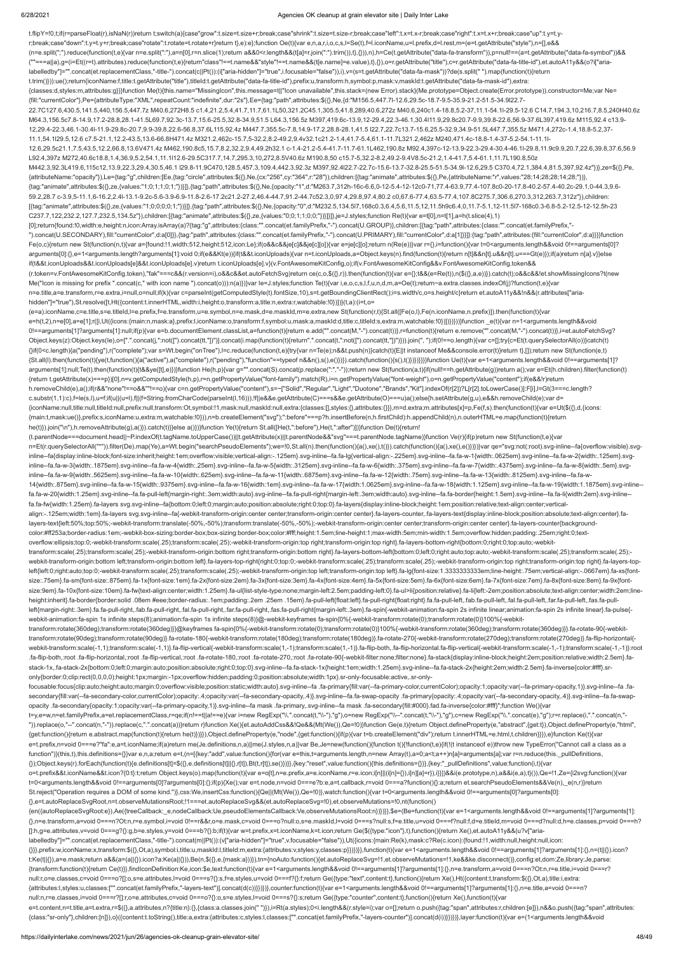#### 6/28/2021 Agencies OK cleanup at grain elevator site | Daily Inter Lake

t.flipY=!0,t;if(r=parseFloat(r),isNaN(r))return t;switch(a){case"grow":t.size=t.size+r;break;case"shrink":t.size=t.size-r;break;case"left":t.x=t.x-r;break;case"right":t.x=t.x+r;break;case"up":t.y=t.yr;break;case"down":t.y=t.y+r;break;case"rotate":t.rotate=t.rotate+r}return t},e):e};function Oe(t){var e,n,a,r,i,o,c,s,l=Se(t),f=l.iconName,u=l.prefix,d=l.rest,m=(e=t.getAttribute("style"),n=[],e&& (n=e.split(";").reduce(function(t,e){var n=e.split(":"),a=n[0],r=n.slice(1);return a&&0<r.length&&(t[a]=r.join(":").trim()),t},{})),n),h=Ce(t.getAttribute("data-fa-transform")),p=null!==(a=t.getAttribute("data-fa-symbol"))&& (""===a||a),g=(i=Et((r=t).attributes).reduce(function(t,e){return"class"!==t.name&&"style"!==t.name&&(t[e.name]=e.value),t},{}),o=r.getAttribute("title"),c=r.getAttribute("data-fa-title-id"),et.autoA11y&&(o?i["arialabelledby"]="".concat(et.replacementClass,"-title-").concat(c||Pt()):(i["aria-hidden"]="true",i.focusable="false")),i),v=(s=t.getAttribute("data-fa-mask"))?de(s.split(" ").map(function(t){return t.trim()})):ue();return{iconName:f,title:t.getAttribute("title"),titleId:t.getAttribute("data-fa-title-id"),prefix:u,transform:h,symbol:p,mask:v,maskId:t.getAttribute("data-fa-mask-id"),extra: {classes:d,styles:m,attributes:g}}}function Me(t){this.name="MissingIcon",this.message=t||"Icon unavailable",this.stack=(new Error).stack}(Me.prototype=Object.create(Error.prototype)).constructor=Me;var Ne= {fill:"currentColor"},Pe={attributeType:"XML",repeatCount:"indefinite",dur:"2s"},Ee={tag:"path",attributes:\$({},Ne,{d:"M156.5,447.7l-12.6,29.5c-18.7-9.5-35.9-21.2-51.5-34.9l22.7- 22.7C127.6,430.5,141.5,440,156.5,447.7z M40.6,272H8.5 c1.4,21.2,5.4,41.7,11.7,61.1L50,321.2C45.1,305.5,41.8,289,40.6,272z M40.6,240c1.4-18.8,5.2-37,11.1-54.1l-29.5-12.6 C14.7,194.3,10,216.7,8.5,240H40.6z M64.3,156.5c7.8-14.9,17.2-28.8,28.1-41.5L69.7,92.3c-13.7,15.6-25.5,32.8-34.9,51.5 L64.3,156.5z M397,419.6c-13.9,12-29.4,22.3-46.1,30.4l11.9,29.8c20.7-9.9,39.8-22.6,56.9-37.6L397,419.6z M115,92.4 c13.9- 12,29.4-22.3,46.1-30.4l-11.9-29.8c-20.7,9.9-39.8,22.6-56.8,37.6L115,92.4z M447.7,355.5c-7.8,14.9-17.2,28.8-28.1,41.5 l22.7,22.7c13.7-15.6,25.5-32.9,34.9-51.5L447.7,355.5z M471.4,272c-1.4,18.8-5.2,37- 11.1,54.1l29.5,12.6 c7.5-21.1,12.2-43.5,13.6-66.8H471.4z M321.2,462c-15.7,5-32.2,8.2-49.2,9.4v32.1c21.2-1.4,41.7-5.4,61.1-11.7L321.2,462z M240,471.4c-18.8-1.4-37-5.2-54.1-11.1l-12.6,29.5c21.1,7.5,43.5,12.2,66.8,13.6V471.4z M462,190.8c5,15.7,8.2,32.2,9.4,49.2h32.1 c-1.4-21.2-5.4-41.7-11.7-61.1L462,190.8z M92.4,397c-12-13.9-22.3-29.4-30.4-46.1l-29.8,11.9c9.9,20.7,22.6,39.8,37.6,56.9 L92.4,397z M272,40.6c18.8,1.4,36.9,5.2,54.1,11.1l12.6-29.5C317.7,14.7,295.3,10,272,8.5V40.6z M190.8,50 c15.7-5,32.2-8.2,49.2-9.4V8.5c-21.2,1.4-41.7,5.4-61.1,11.7L190.8,50z M442.3,92.3L419.6,115c12,13.9,22.3,29.4,30.5,46.1 l29.8-11.9C470,128.5,457.3,109.4,442.3,92.3z M397,92.4l22.7-22.7c-15.6-13.7-32.8-25.5-51.5-34.9l-12.6,29.5 C370.4,72.1,384.4,81.5,397,92.4z"})},ze=\$({},Pe, {attributeName:"opacity"}),Le={tag:"g",children:[Ee,{tag:"circle",attributes:\$({},Ne,{cx:"256",cy:"364",r:"28"}),children:[{tag:"animate",attributes:\$({},Pe,{attributeName:"r",values:"28;14;28;28;14;28;"})}, {tag:"animate",attributes:\$({},ze,{values:"1;0;1;1;0;1;"})}]},{tag:"path",attributes:\$({},Ne,{opacity:"1",d:"M263.7,312h-16c-6.6,0-12-5.4-12-12c0-71,77.4-63.9,77.4-107.8c0-20-17.8-40.2-57.4-40.2c-29.1,0-44.3,9.6- 59.2,28.7 c-3.9,5-11.1,6-16.2,2.4l-13.1-9.2c-5.6-3.9-6.9-11.8-2.6-17.2c21.2-27.2,46.4-44.7,91.2-44.7c52.3,0,97.4,29.8,97.4,80.2 c0,67.6-77.4,63.5-77.4,107.8C275.7,306.6,270.3,312,263.7,312z"}),children: [{tag:"animate",attributes:\$({},ze,{values:"1;0;0;0;0;1;"})}]},{tag:"path",attributes:\$({},Ne,{opacity:"0",d:"M232.5,134.5l7,168c0.3,6.4,5.6,11.5,12,11.5h9c6.4,0,11.7-5.1,12-11.5l7-168c0.3-6.8-5.2-12.5-12-12.5h-23 C237.7,122,232.2,127.7,232.5,134.5z"}),children:[{tag:"animate",attributes:\$({},ze,{values:"0;0;1;1;0;0;"})}]}]},je=J.styles;function Re(t){var e=t[0],n=t[1],a=h(t.slice(4),1) [0];return{found:!0,width:e,height:n,icon:Array.isArray(a)?{tag:"g",attributes:{class:"".concat(et.familyPrefix,"-").concat(U.GROUP)},children:[{tag:"path",attributes:{class:"".concat(et.familyPrefix,"- ").concat(U.SECONDARY),fill:"currentColor",d:a[0]}},{tag:"path",attributes:{class:"".concat(et.familyPrefix,"-").concat(U.PRIMARY),fill:"currentColor",d:a[1]}}]}:{tag:"path",attributes:{fill:"currentColor",d:a}}}}function Fe(o,c){return new St(function(n,t){var a={found:!1,width:512,height:512,icon:Le};if(o&&c&&je[c]&&je[c][o]){var e=je[c][o];return n(Re(e))}var r={},i=function(){var t=0<arguments.length&&void 0!==arguments[0]? arguments[0]:{},e=1<arguments.length?arguments[1]:void 0;if(e&&Kt(e)){if(t&&t.iconUploads){var n=t.iconUploads,a=Object.keys(n).find(function(t){return n[t]&&n[t].u&&n[t].u===Gt(e)});if(a)return n[a].v}}else if(t&&t.iconUploads&&t.iconUploads[e]&&t.iconUploads[e].v)return t.iconUploads[e].v}(v.FontAwesomeKitConfig,o);if(v.FontAwesomeKitConfig&&v.FontAwesomeKitConfig.token&& (r.token=v.FontAwesomeKitConfig.token),"fak"===c&&(r.version=i),o&&c&&et.autoFetchSvg)return ce(c,o,\$({},r)).then(function(t){var e={};t&&(e=Re(t)),n(\$({},a,e))}).catch(t);o&&c&&!et.showMissingIcons?t(new Me("Icon is missing for prefix ".concat(c," with icon name ").concat(o))):n(a)})}var le=J.styles;function Te(t){var i,e,o,c,s,l,f,u,n,d,m,a=Oe(t);return~a.extra.classes.indexOf(j)?function(t,e){var n=e.title,a=e.transform,r=e.extra,i=null,o=null;if(k){var c=parseInt(getComputedStyle(t).fontSize,10),s=t.getBoundingClientRect();i=s.width/c,o=s.height/c}return et.autoA11y&&!n&&(r.attributes["ariahidden"]="true"),St.resolve([t,Ht({content:t.innerHTML,width:i,height:o,transform:a,title:n,extra:r,watchable:!0})])}(t,a):(i=t,o= (e=a).iconName,c=e.title,s=e.titleId,l=e.prefix,f=e.transform,u=e.symbol,n=e.mask,d=e.maskId,m=e.extra,new St(function(r,t){St.all([Fe(o,l),Fe(n.iconName,n.prefix)]).then(function(t){var e=h(t,2),n=e[0],a=e[1];r([i,Ut({icons:{main:n,mask:a},prefix:l,iconName:o,transform:f,symbol:u,mask:a,maskId:d,title:c,titleId:s,extra:m,watchable:!0})])})}))}function \_e(t){var n=1<arguments.length&&void 0!==arguments[1]?arguments[1]:null;if(p){var e=b.documentElement.classList,a=function(t){return e.add("".concat(M,"-").concat(t))},r=function(t){return e.remove("".concat(M,"-").concat(t)},r=function(t){return e.remove("". Object.keys(z):Object.keys(le),o=[".".concat(j,":not([").concat(tt,"])")].concat(i.map(function(t){return".".concat(t,":not([").concat(tt,"])")}).join(", ");if(0!==o.length){var c=[];try{c=Et(t.querySelectorAll(o))}catch(t {}if(0<c.length){a("pending"),r("complete");var s=Wt.begin("onTree"),l=c.reduce(function(t,e){try{var n=Te(e);n&&t.push(n)}catch(t){E||t instanceof Me&&console.error(t)}return t},[]);return new St(function(e,t) {St.all(l).then(function(t){ye(t,function(){a("active"),a("complete"),r("pending"),"function"==typeof n&&n(),s(),e()})}).catch(function(){s(),t()})})}}}}function Ue(t){var e=1<arguments.length&&void 0!==arguments[1]? arguments[1]:null;Te(t).then(function(t){t&&ye([t],e)})}function He(h,p){var g="".concat(S).concat(p.replace(":","-"));return new St(function(a,t){if(null!==h.getAttribute(g))return a();var e=Et(h.children).filter(function {return t.getAttribute(x)===p})[0],n=v.getComputedStyle(h,p),r=n.getPropertyValue("font-family").match(R),i=n.getPropertyValue("font-weight"),o=n.getPropertyValue("content");if(e&&!r)return h.removeChild(e),a();if(r&&"none"!==o&&""!==o){var c=n.getPropertyValue("content"),s=~["Solid","Regular","Light","Duotone","Brands","Kit"].indexOf(r[2])?L[r[2].toLowerCase()]:F[i],l=Gt(3===c.length? c.substr(1,1):c),f=le(s,l),u=f;if(u||(u=l),f||(f=String.fromCharCode(parseInt(l,16))),!f||e&&e.getAttribute(C)===s&&e.getAttribute(O)===u)a();else{h.setAttribute(g,u),e&&h.removeChild(e);var d= {iconName:null,title:null,titleId:null,prefix:null,transform:Ot,symbol:!1,mask:null,maskId:null,extra:{classes:[],styles:{},attributes:{}}},m=d.extra;m.attributes[x]=p,Fe(f,s).then(function(t){var e=Ut(\$({},d,{icons: {main:t,mask:ue()},prefix:s,iconName:u,extra:m,watchable:!0})),n=b.createElement("svg");":before"===p?h.insertBefore(n,h.firstChild):h.appendChild(n),n.outerHTML=e.map(function(t){return he(t)}).join("\n"),h.removeAttribute(g),a()}).catch(t)}}else a()})}function Ye(t){return St.all([He(t,":before"),He(t,":after")])}function De(t){return! (t.parentNode===document.head||~P.indexOf(t.tagName.toUpperCase())||t.getAttribute(x)||t.parentNode&&"svg"===t.parentNode.tagName)}function Ve(r){if(p)return new St(function(t,e){var n=Et(r.querySelectorAll("\*")).filter(De).map(Ye),a=Wt.begin("searchPseudoElements");we=!0,St.all(n).then(function(){a(),xe(),t()}).catch(function(){a(),xe(),e()}}}}}var qe="svg:not(:root).svg-inline--fa{overflow:visible}.s inline--fa{display:inline-block;font-size:inherit;height:1em;overflow:visible;vertical-align:-.125em}.svg-inline--fa.fa-lg{vertical-align:-.225em}.svg-inline--fa.fa-w-1{width:.0625em}.svg-inline--fa.fa-w-2{width:.125em}.sv inline--fa.fa-w-3{width:.1875em}.svg-inline--fa.fa-w-4{width:.25em}.svg-inline--fa.fa-w-5{width:.3125em}.svg-inline--fa.fa-w-6{width:.375em}.svg-inline--fa.fa-w-7{width:.4375em}.svg-inline--fa.fa-w-8{width:.5em}.svg-inline inline--fa.fa-w-9{width:.5625em}.svg-inline--fa.fa-w-10{width:.625em}.svg-inline--fa.fa-w-11{width:.6875em}.svg-inline--fa.fa-w-12{width:.75em}.svg-inline--fa.fa-w-12{width:.625em}.svg-inline--fa.fa-w-13{width:.75em}.svg-i 14{width:.875em}.svg-inline--fa.fa-w-15{width:.9375em}.svg-inline--fa.fa-w-16{width:1em}.svg-inline--fa.fa-w-17{width:1.0625em}.svg-inline--fa.fa-w-18{width:1.125em}.svg-inline--fa.fa-w-19{width:1.1875em}.svg-inline- fa.fa-w-20{width:1.25em}.svg-inline--fa.fa-pull-left{margin-right:.3em;width:auto}.svg-inline--fa.fa-pull-right{margin-left:.3em;width:auto}.svg-inline--fa.fa-border{height:1.5em}.svg-inline--fa.fa-li{width:2em}.svg-inline- fa.fa-fw{width:1.25em}.fa-layers svg.svg-inline--fa{bottom:0;left:0;margin:auto;position:absolute;right:0;top:0}.fa-layers{display:inline-block;height:1em;position:relative;text-align:center;verticalalign:-.125em;width:1em}.fa-layers svg.svg-inline--fa{-webkit-transform-origin:center center;transform-origin:center center}.fa-layers-counter,.fa-layers-text{display:inline-block;position:absolute;text-align:center}.falayers-text{left:50%;top:50%;-webkit-transform:translate(-50%,-50%);transform:translate(-50%,-50%);-webkit-transform-origin:center center;transform-origin:center center}.fa-layers-counter{backgroundcolor:#ff253a;border-radius:1em;-webkit-box-sizing:border-box;box-sizing:border-box;color:#fff;height:1.5em;line-height:1;max-width:5em;min-width:1.5em;overflow:hidden;padding:.25em;right:0;textoverflow:ellipsis;top:0;-webkit-transform:scale(.25);transform:scale(.25);-webkit-transform-origin:top right;transform-origin:top right}.fa-layers-bottom-right{bottom:0;right:0;top:auto;-webkittransform:scale(.25);transform:scale(.25);-webkit-transform-origin:bottom right;transform-origin:bottom right}.fa-layers-bottom-left{bottom:0;left:0;right:auto;top:auto;-webkit-transform:scale(.25);transform:scale(.25); webkit-transform-origin:bottom left;transform-origin:bottom left}.fa-layers-top-right{right:0;top:0;-webkit-transform:scale(.25);transform:scale(.25);-webkit-transform-origin:top right;transform-origin:top right}.fa-layers left{left:0;right:auto;top:0;-webkit-transform:scale(.25);transform:scale(.25);-webkit-transform-origin:top left;transform-origin:top left}.fa-lg{font-size:1.3333333333em;line-height:.75em;vertical-align:-.0667em}.fa-xs{fontsize:.75em}.fa-sm{font-size:.875em}.fa-1x{font-size:1em}.fa-2x{font-size:2em}.fa-3x{font-size:3em}.fa-4x{font-size:4em}.fa-5x{font-size:5em}.fa-6x{font-size:6em}.fa-6x{font-size:6em}.fa-6x{font-size:6em}.fa-6x{font-size:6e size:9em}.fa-10x{font-size:10em}.fa-fw{text-align:center;width:1.25em}.fa-ul{list-style-type:none;margin-left:2.5em;padding-left:0}.fa-ul>li{position:relative}.fa-li{left:-2em;position:absolute;text-align:center;width:2em; height:inherit}.fa-border{border:solid .08em #eee;border-radius:.1em;padding:.2em .25em .15em}.fa-pull-left{float:left}.fa-pull-right{float:right}.fa.fa-pull-left,.fab.fa-pull-left,.fab.fa-pull-left,.fal.fa-pull-left,.fan. left{margin-right:.3em}.fa.fa-pull-right,.fab.fa-pull-right,.fal.fa-pull-right,.far.fa-pull-right,.far.fa-pull-right,.far.fa-pull-right,.fas.fa-pull-right(nargin-left:.3em}.fa-spin{-webkit-animation:fa-spin 2s infinite lin webkit-animation:fa-spin 1s infinite steps(8);animation:fa-spin 1s infinite steps(8)}@-webkit-keyframes fa-spin{0%{-webkit-transform:rotate(0);transform:rotate(0)}100%{-webkittransform:rotate(360deg);transform:rotate(360deg)}}@keyframes fa-spin{0%{-webkit-transform:rotate(0);transform:rotate(0)}100%{-webkit-transform:rotate(360deg);transform:rotate(360deg)}}.fa-rotate-90{-webkittransform:rotate(90deg);transform:rotate(90deg)}.fa-rotate-180{-webkit-transform:rotate(180deg);transform:rotate(180deg)}.fa-rotate-270{-webkit-transform:rotate(270deg);transform:rotate(270deg)}.fa-flip-horizontal{ webkit-transform:scale(-1,1);transform:scale(-1,1)}.fa-flip-vertical{-webkit-transform:scale(1,-1);transform:scale(1,-1)}.fa-flip-both,.fa-flip-both,da-flip-horizontal.fa-flip-vertical{-webkit-transform:scale(-1,-1)}:root -fa-flip-both,:root .fa-flip-horizontal,:root .fa-flip-vertical,:root .fa-rotate-180,:root .fa-rotate-270,:root .fa-rotate-90{-webkit-filter:none;filter:none}.fa-stack{display:inline-block;height:2em;position:relative;widt stack-1x,.fa-stack-2x{bottom:0;left:0;margin:auto;position:absolute;right:0;top:0}.svg-inline--fa.fa-stack-1x{height:1em;width:1.25em}.svg-inline--fa.fa-stack-2x{height:2em;width:2.5em}.fa-inverse{color:#fff}.sronly{border:0;clip:rect(0,0,0,0);height:1px;margin:-1px;overflow:hidden;padding:0;position:absolute;width:1px}.sr-only-focusable:active,.sr-onlyfocusable:focus{clip:auto;height:auto;margin:0;overflow:visible;position:static;width:auto}.svg-inline--fa .fa-primary{fill:var(--fa-primary-color,currentColor);opacity:1;opacity:1-ra-primary-opacity,1)}.svg-inline--fa .fa secondary{fill:var(--fa-secondary-color,currentColor);opacity:.4;opacity:var(--fa-secondary-opacity,.4)}.svg-inline--fa.fa-swap-opacity .fa-primary{opacity:.4;opacity:var(--fa-secondary-opacity,.4)}.svg-inline--fa.fa-swap-

opacity .fa-secondary{opacity:1;opacity:var(--fa-primary-opacity,1)}.svg-inline--fa mask .fa-primary,.svg-inline--fa mask .fa-secondary{fill:#000}.fad.fa-inverse{color:#fff}";function We(){var t=y,e=w,n=et.familyPrefix,a=et.replacementClass,r=qe;if(n!==t||a!==e){var i=new RegExp("\\.".concat(t,"\\-"),"g"),o=new RegExp("\\--".concat(t,"\\-"),"g"),c=new RegExp("\\.".concat(e),"g");r=r.replace(i,".".concat(n,"-

")).replace(o,"--".concat(n,"-")).replace(c,".".concat(a))}return r}function Xe(){et.autoAddCss&&!Qe&&(Mt(We()),Qe=!0)}function Ge(e,t){return Object.defineProperty(e,"abstract",{get:t}),Object.defineProperty(e,"html", {get:function(){return e.abstract.map(function(t){return he(t)})}}),Object.defineProperty(e,"node",{get:function(){if(p){var t=b.createElement("div");return t.innerHTML=e.html,t.children}}}),e}function Ke(t){var e=t.prefix,n=void 0===e?"fa":e,a=t.iconName;if(a)return me(Je.definitions,n,a)||me(J.styles,n,a)}var Be,Je=new(function(){function t(){!function(t,e){if(!(t instanceof e))throw new TypeError("Cannot call a class as a function")}(this,t),this.definitions={}}var e,n,a;return e=t,(n=[{key:"add",value:function(){for(var e=this,t=arguments.length,n=new Array(t),a=0;a<t;a++)n[a]=arguments[a];var r=n.reduce(this.\_pullDefinitions, {});Object.keys(r).forEach(function(t){e.definitions[t]=\$({},e.definitions[t]||{},r[t]),Bt(t,r[t]),se()})}},{key:"reset",value:function(){this.definitions={}}},{key:"\_pullDefinitions",value:function(i,t){var o=t.prefix&&t.iconName&&t.icon?{0:t}:t;return Object.keys(o).map(function(t){var e=o[t],n=e.prefix,a=e.iconName,r=e.icon;i[n]||(i[n]={}),i[n][a]=r}),i}}])&&i(e.prototype,n),a&&i(e,a),t}()),Qe=!1,Ze={i2svg:function(){var t=0<arguments.length&&void 0!==arguments[0]?arguments[0]:{};if(p){Xe();var e=t.node,n=void 0===e?b:e,a=t.callback,r=void 0===a?function(){}:a;return et.searchPseudoElements&&Ve(n),\_e(n,r)}return St.reject("Operation requires a DOM of some kind.")},css:We,insertCss:function(){Qe||(Mt(We()),Qe=!0)},watch:function(){var t=0<arguments.length&&void 0!==arguments[0]?arguments[0]: {},e=t.autoReplaceSvgRoot,n=t.observeMutationsRoot;!1===et.autoReplaceSvg&&(et.autoReplaceSvg=!0),et.observeMutations=!0,nt(function() {en({autoReplaceSvgRoot:e}),Ae({treeCallback:\_e,nodeCallback:Ue,pseudoElementsCallback:Ve,observeMutationsRoot:n})})}},\$e=(Be=function(t){var e=1<arguments.length&&void 0!==arguments[1]?arguments[1]: {},n=e.transform,a=void 0===n?Ot:n,r=e.symbol,i=void 0!==r&&r,o=e.mask,c=void 0===o?null:o,s=e.maskId,l=void 0===s?null:s,f=e.title,u=void 0===f?null:f,d=e.titleId,m=void 0===d?null:d,h=e.classes,p=void 0===h? []:h,g=e.attributes,v=void 0===g?{}:g,b=e.styles,y=void 0===b?{}:b;if(t){var w=t.prefix,x=t.iconName,k=t.icon;return Ge(\$({type:"icon"},t),function(){return Xe(),et.autoA11y&&(u?v["arialabelledby"]="".concat(et.replacementClass,"-title-").concat(m||Pt()):(v["aria-hidden"]="true",v.focusable="false")),Ut({icons:{main:Re(k),mask:c?Re(c.icon):{found:!1,width:null,height:null,icon: {}}},prefix:w,iconName:x,transform:\$({},Ot,a),symbol:i,title:u,maskId:l,titleId:m,extra:{attributes:v,styles:y,classes:p}})})}},function(t){var e=1<arguments.length&&void 0!==arguments[1]?arguments[1]:{},n=(t||{}).icon? t:Ke(t||{}),a=e.mask;return a&&(a=(a||{}).icon?a:Ke(a||{})),Be(n,\$({},e,{mask:a}))}),tn={noAuto:function(){et.autoReplaceSvg=!1,et.observeMutations=!1,ke&&ke.disconnect()},config:et,dom:Ze,library:Je,parse: {transform:function(t){return Ce(t)}},findIconDefinition:Ke,icon:\$e,text:function(t){var e=1<arguments.length&&void 0!==arguments[1]?arguments[1]:{},n=e.transform,a=void 0===n?Ot:n,r=e.title,i=void 0===r? null:r,o=e.classes,c=void 0===o?[]:o,s=e.attributes,l=void 0===s?{}:s,f=e.styles,u=void 0===f?{}:f;return Ge({type:"text",content:t},function(){return Xe(),Ht({content:t,transform:\$({},Ot,a),title:i,extra: {attributes:l,styles:u,classes:["".concat(et.familyPrefix,"-layers-text")].concat(d(c))}})})},counter:function(t){var e=1<arguments.length&&void 0!==arguments[1]?arguments[1]:{},n=e.title,a=void 0===n? null:n,r=e.classes,i=void 0===r?[]:r,o=e.attributes,c=void 0===o?{}:o,s=e.styles,l=void 0===s?{}:s;return Ge({type:"counter",content:t},function(){return Xe(),function(t){var e=t.content,n=t.title,a=t.extra,r=\$({},a.attributes,n?{title:n}:{},{class:a.classes.join(""}),i=Rt(a.styles);0<i.length&&(r.style=i);var o=[];return o.push({tag:"span",attributes:r,children:[e]}),n&&o.push({tag:"span",attr {class:"sr-only"},children:[n]}),o}({content:t.toString(),title:a,extra:{attributes:c,styles:l,classes:["".concat(et.familyPrefix,"-layers-counter")].concat(d(i))}})})},layer:function(t){var e=(1<arguments.length&&void